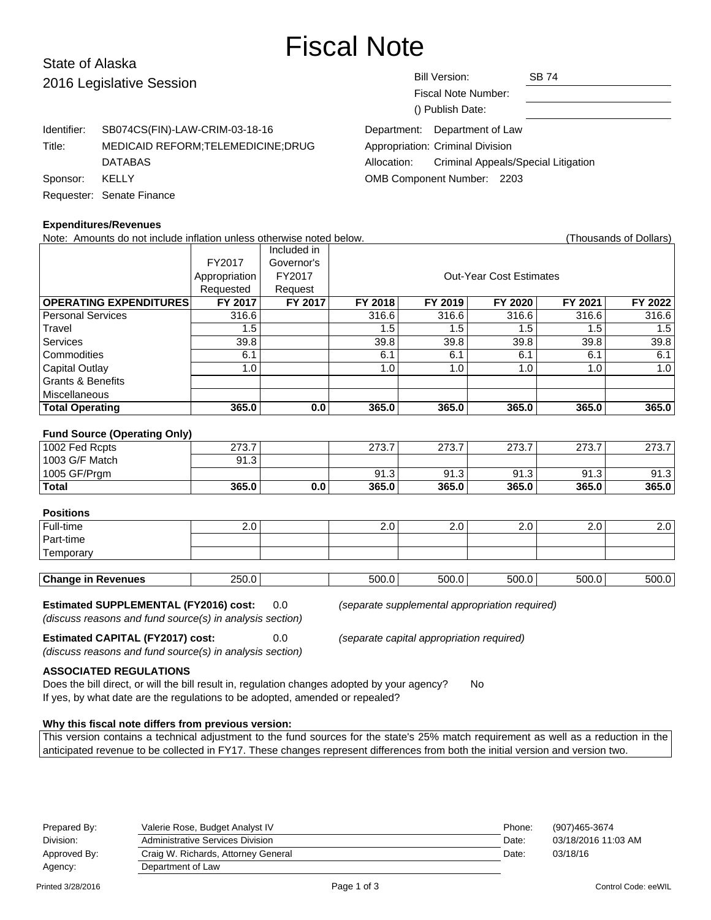# Fiscal Note

# State of Alaska 2016 Legislative Sessio

| )n                   | <b>Bill Version:</b><br><b>SB 74</b>               |  |  |  |  |  |
|----------------------|----------------------------------------------------|--|--|--|--|--|
|                      | Fiscal Note Number:                                |  |  |  |  |  |
|                      | () Publish Date:                                   |  |  |  |  |  |
| W-CRIM-03-18-16\     | Department: Department of Law                      |  |  |  |  |  |
| RM;TELEMEDICINE;DRUG | Appropriation: Criminal Division                   |  |  |  |  |  |
|                      | Criminal Appeals/Special Litigation<br>Allocation: |  |  |  |  |  |
|                      | <b>OMB Component Number: 2203</b>                  |  |  |  |  |  |
|                      |                                                    |  |  |  |  |  |
|                      |                                                    |  |  |  |  |  |

|                | Identifier: SB074CS(FIN)-LAW-CRIM-03-18-16 |
|----------------|--------------------------------------------|
| Title:         | <b>MEDICAID REFORM:TELEMEDICINE:DRUG</b>   |
|                | <b>DATABAS</b>                             |
| Sponsor: KELLY |                                            |
|                | Requester: Senate Finance                  |

#### **Expenditures/Revenues**

Note: Amounts do not include inflation unless otherwise noted below. Thousands of Dollars) (Thousands of Dollars) Included in FY2017 Governor's Appropriation FY2017 | COUL-Year Cost Estimates Requested Request **OPERATING EXPENDITURES FY 2017 FY 2017 FY 2018 FY 2019 FY 2020 FY 2021 FY 2022** Personal Services 1 316.6 316.6 316.6 316.6 316.6 316.6 316.6 316.6 Travel 1.5 | 1.5 | 1.5 | 1.5 | 1.5 | 1.5 Services | 39.8 | | 39.8 | 39.8 | 39.8 | 39.8 | 39.8 Commodities 6.1 6.1 6.1 6.1 6.1 6.1 Capital Outlay | 1.0 | | 1.0 | 1.0 | 1.0 | 1.0 | Grants & Benefits Miscellaneous **Total Operating 365.0 0.0 365.0 365.0 365.0 365.0 365.0 Fund Source (Operating Only)** 1002 Fed Rcpts 273.7 273.7 273.7 273.7 273.7 273.7 273.7 273.7 273.7 1003 G/F Match 91.3 1005 GF/Prgm 91.3 91.3 91.3 91.3 91.3 91.3 **Total 365.0 0.0 365.0 365.0 365.0 365.0 365.0 Positions**

| ⊤บอแบแอ                   |         |       |       |       |               |                  |
|---------------------------|---------|-------|-------|-------|---------------|------------------|
| Full-time                 | $2.0^+$ | z.u   | Z.U   | Z.U   | $2.0^{\circ}$ | 2.0 <sup>1</sup> |
| Part-time                 |         |       |       |       |               |                  |
| Temporary                 |         |       |       |       |               |                  |
|                           |         |       |       |       |               |                  |
| <b>Change in Revenues</b> | 250.0   | 500.0 | 500.0 | 500.0 | 500.0         | 500.0            |

#### **Estimated SUPPLEMENTAL (FY2016) cost:** 0.0 (separate supplemental appropriation required)

(discuss reasons and fund source(s) in analysis section)

**Estimated CAPITAL (FY2017) cost:** 0.0 (separate capital appropriation required)

(discuss reasons and fund source(s) in analysis section)

**ASSOCIATED REGULATIONS**

Does the bill direct, or will the bill result in, regulation changes adopted by your agency? No If yes, by what date are the regulations to be adopted, amended or repealed?

#### **Why this fiscal note differs from previous version:**

This version contains a technical adjustment to the fund sources for the state's 25% match requirement as well as a reduction in the anticipated revenue to be collected in FY17. These changes represent differences from both the initial version and version two.

| Prepared By: | Valerie Rose, Budget Analyst IV     | Phone: | (907)465-3674       |
|--------------|-------------------------------------|--------|---------------------|
| Division:    | Administrative Services Division    | Date:  | 03/18/2016 11:03 AM |
| Approved By: | Craig W. Richards, Attorney General | Date:  | 03/18/16            |
| Agency:      | Department of Law                   |        |                     |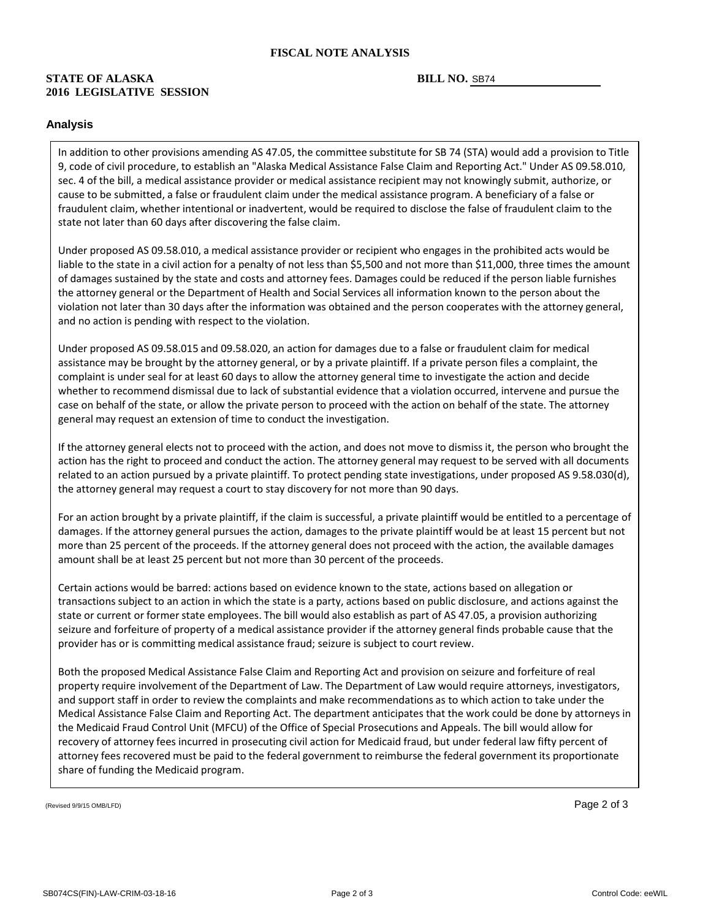#### **FISCAL NOTE ANALYSIS**

#### **STATE OF ALASKA 2016 LEGISLATIVE SESSION**

#### BILL NO. SB74

#### **Analysis**

In addition to other provisions amending AS 47.05, the committee substitute for SB 74 (STA) would add a provision to Title 9, code of civil procedure, to establish an "Alaska Medical Assistance False Claim and Reporting Act." Under AS 09.58.010, sec. 4 of the bill, a medical assistance provider or medical assistance recipient may not knowingly submit, authorize, or cause to be submitted, a false or fraudulent claim under the medical assistance program. A beneficiary of a false or fraudulent claim, whether intentional or inadvertent, would be required to disclose the false of fraudulent claim to the state not later than 60 days after discovering the false claim.

Under proposed AS 09.58.010, a medical assistance provider or recipient who engages in the prohibited acts would be liable to the state in a civil action for a penalty of not less than \$5,500 and not more than \$11,000, three times the amount of damages sustained by the state and costs and attorney fees. Damages could be reduced if the person liable furnishes the attorney general or the Department of Health and Social Services all information known to the person about the violation not later than 30 days after the information was obtained and the person cooperates with the attorney general, and no action is pending with respect to the violation.

Under proposed AS 09.58.015 and 09.58.020, an action for damages due to a false or fraudulent claim for medical assistance may be brought by the attorney general, or by a private plaintiff. If a private person files a complaint, the complaint is under seal for at least 60 days to allow the attorney general time to investigate the action and decide whether to recommend dismissal due to lack of substantial evidence that a violation occurred, intervene and pursue the case on behalf of the state, or allow the private person to proceed with the action on behalf of the state. The attorney general may request an extension of time to conduct the investigation.

If the attorney general elects not to proceed with the action, and does not move to dismiss it, the person who brought the action has the right to proceed and conduct the action. The attorney general may request to be served with all documents related to an action pursued by a private plaintiff. To protect pending state investigations, under proposed AS 9.58.030(d), the attorney general may request a court to stay discovery for not more than 90 days.

For an action brought by a private plaintiff, if the claim is successful, a private plaintiff would be entitled to a percentage of damages. If the attorney general pursues the action, damages to the private plaintiff would be at least 15 percent but not more than 25 percent of the proceeds. If the attorney general does not proceed with the action, the available damages amount shall be at least 25 percent but not more than 30 percent of the proceeds.

Certain actions would be barred: actions based on evidence known to the state, actions based on allegation or transactions subject to an action in which the state is a party, actions based on public disclosure, and actions against the state or current or former state employees. The bill would also establish as part of AS 47.05, a provision authorizing seizure and forfeiture of property of a medical assistance provider if the attorney general finds probable cause that the provider has or is committing medical assistance fraud; seizure is subject to court review.

Both the proposed Medical Assistance False Claim and Reporting Act and provision on seizure and forfeiture of real property require involvement of the Department of Law. The Department of Law would require attorneys, investigators, and support staff in order to review the complaints and make recommendations as to which action to take under the Medical Assistance False Claim and Reporting Act. The department anticipates that the work could be done by attorneys in the Medicaid Fraud Control Unit (MFCU) of the Office of Special Prosecutions and Appeals. The bill would allow for recovery of attorney fees incurred in prosecuting civil action for Medicaid fraud, but under federal law fifty percent of attorney fees recovered must be paid to the federal government to reimburse the federal government its proportionate share of funding the Medicaid program.

(Revised 9/9/15 OMB/LFD) Page 2 of 3